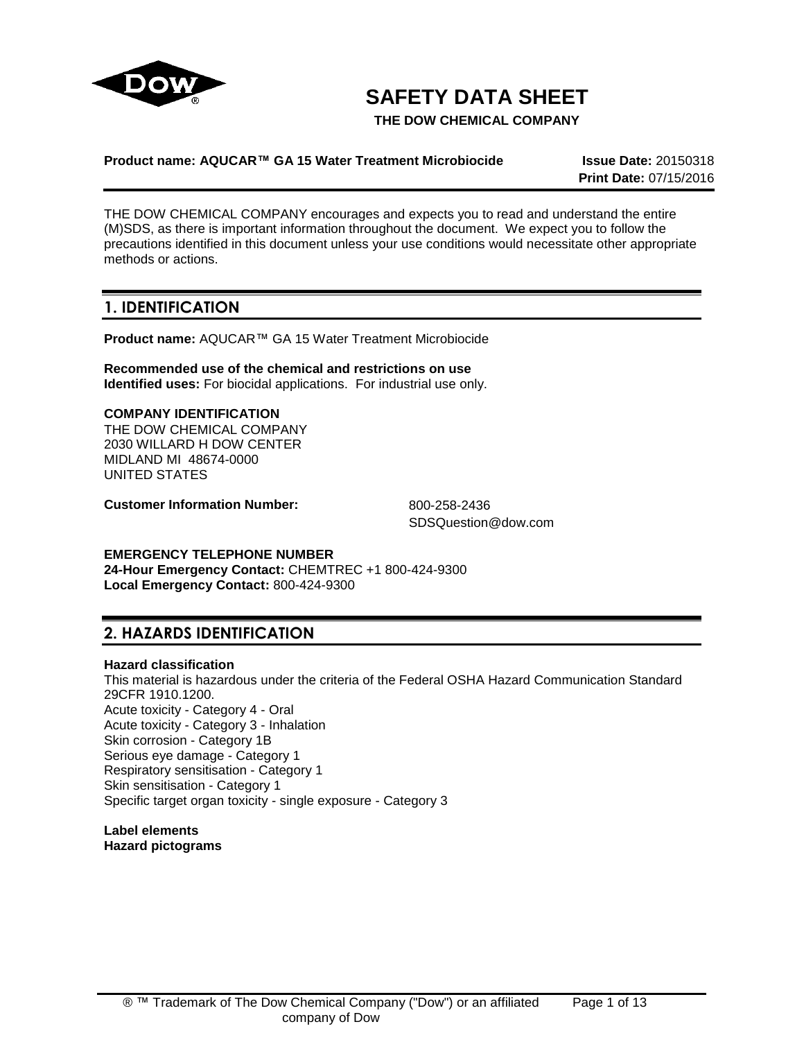

# **SAFETY DATA SHEET**

**THE DOW CHEMICAL COMPANY**

### **Product name: AQUCAR™ GA 15 Water Treatment Microbiocide Issue Date:** 20150318

**Print Date:** 07/15/2016

THE DOW CHEMICAL COMPANY encourages and expects you to read and understand the entire (M)SDS, as there is important information throughout the document. We expect you to follow the precautions identified in this document unless your use conditions would necessitate other appropriate methods or actions.

### **1. IDENTIFICATION**

**Product name:** AQUCAR™ GA 15 Water Treatment Microbiocide

**Recommended use of the chemical and restrictions on use Identified uses:** For biocidal applications. For industrial use only.

#### **COMPANY IDENTIFICATION**

THE DOW CHEMICAL COMPANY 2030 WILLARD H DOW CENTER MIDLAND MI 48674-0000 UNITED STATES

**Customer Information Number:** 800-258-2436

SDSQuestion@dow.com

#### **EMERGENCY TELEPHONE NUMBER**

**24-Hour Emergency Contact:** CHEMTREC +1 800-424-9300 **Local Emergency Contact:** 800-424-9300

### **2. HAZARDS IDENTIFICATION**

### **Hazard classification**

This material is hazardous under the criteria of the Federal OSHA Hazard Communication Standard 29CFR 1910.1200. Acute toxicity - Category 4 - Oral Acute toxicity - Category 3 - Inhalation Skin corrosion - Category 1B Serious eye damage - Category 1 Respiratory sensitisation - Category 1 Skin sensitisation - Category 1 Specific target organ toxicity - single exposure - Category 3

**Label elements Hazard pictograms**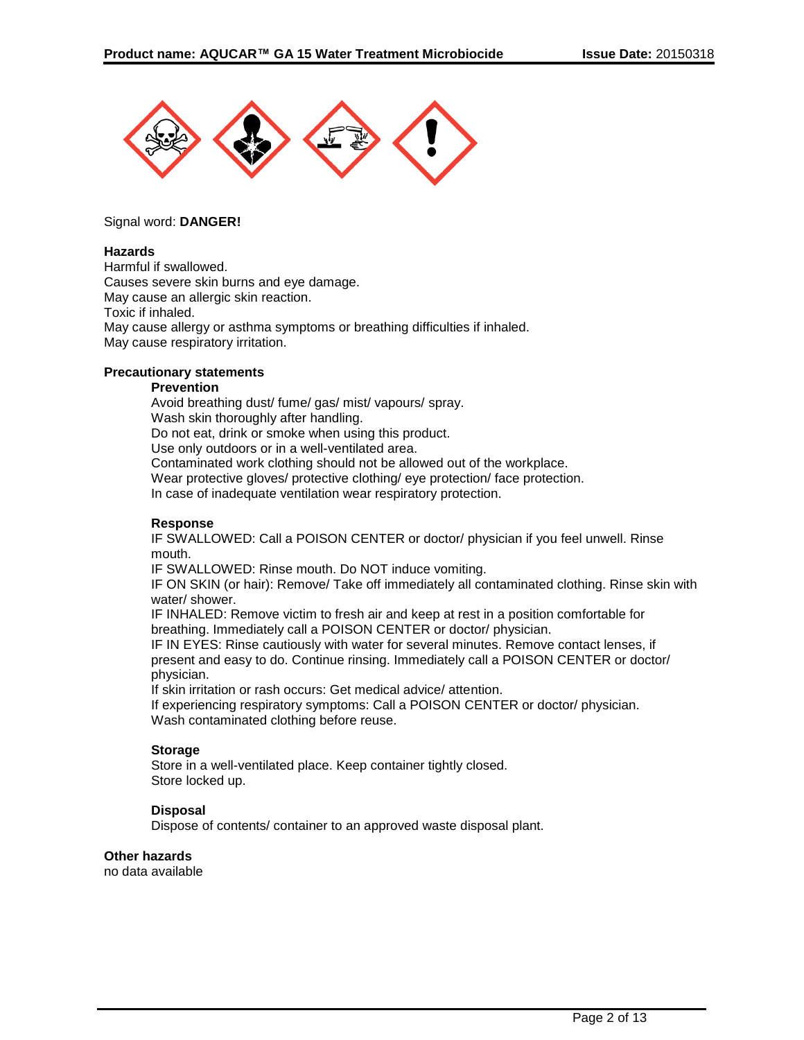

#### Signal word: **DANGER!**

#### **Hazards**

Harmful if swallowed. Causes severe skin burns and eye damage. May cause an allergic skin reaction. Toxic if inhaled. May cause allergy or asthma symptoms or breathing difficulties if inhaled. May cause respiratory irritation.

#### **Precautionary statements**

#### **Prevention**

Avoid breathing dust/ fume/ gas/ mist/ vapours/ spray. Wash skin thoroughly after handling. Do not eat, drink or smoke when using this product. Use only outdoors or in a well-ventilated area. Contaminated work clothing should not be allowed out of the workplace. Wear protective gloves/ protective clothing/ eye protection/ face protection. In case of inadequate ventilation wear respiratory protection.

#### **Response**

IF SWALLOWED: Call a POISON CENTER or doctor/ physician if you feel unwell. Rinse mouth.

IF SWALLOWED: Rinse mouth. Do NOT induce vomiting.

IF ON SKIN (or hair): Remove/ Take off immediately all contaminated clothing. Rinse skin with water/ shower.

IF INHALED: Remove victim to fresh air and keep at rest in a position comfortable for breathing. Immediately call a POISON CENTER or doctor/ physician.

IF IN EYES: Rinse cautiously with water for several minutes. Remove contact lenses, if present and easy to do. Continue rinsing. Immediately call a POISON CENTER or doctor/ physician.

If skin irritation or rash occurs: Get medical advice/ attention.

If experiencing respiratory symptoms: Call a POISON CENTER or doctor/ physician. Wash contaminated clothing before reuse.

#### **Storage**

Store in a well-ventilated place. Keep container tightly closed. Store locked up.

#### **Disposal**

Dispose of contents/ container to an approved waste disposal plant.

#### **Other hazards**

no data available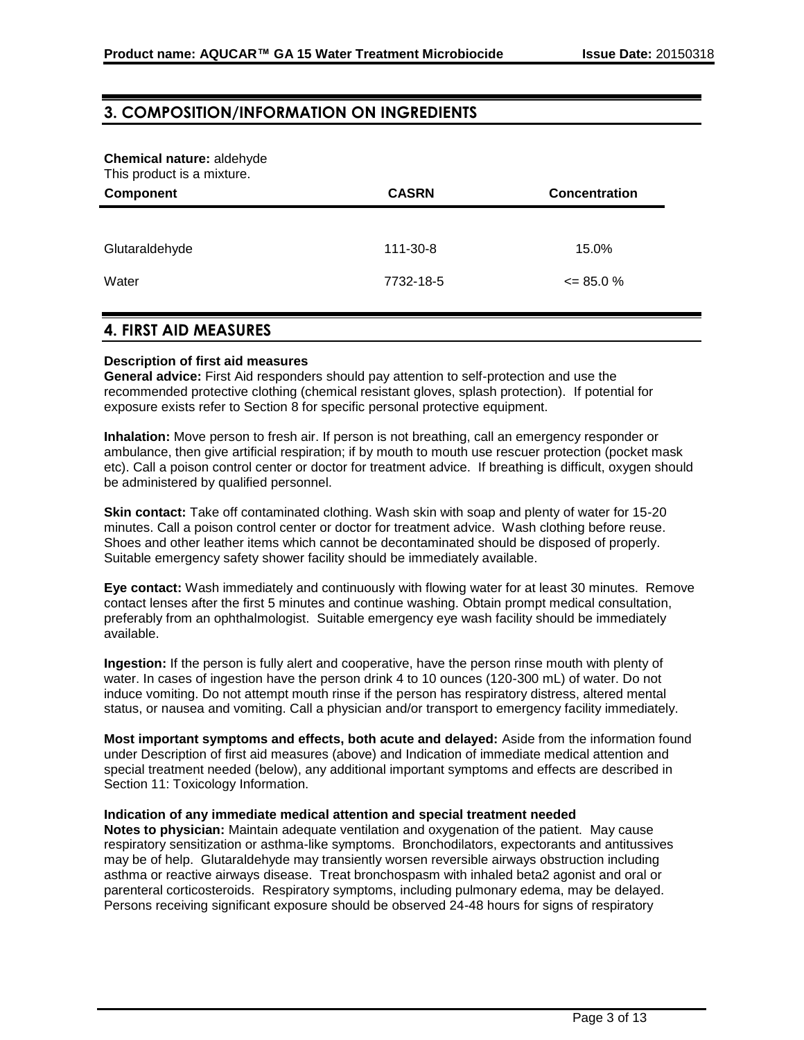### **3. COMPOSITION/INFORMATION ON INGREDIENTS**

#### **Chemical nature:** aldehyde

This product is a mixture.

| Component                    | <b>CASRN</b> | Concentration |
|------------------------------|--------------|---------------|
|                              |              |               |
|                              |              |               |
| Glutaraldehyde               | 111-30-8     | 15.0%         |
|                              |              |               |
| Water                        | 7732-18-5    | $\leq$ 85.0 % |
|                              |              |               |
|                              |              |               |
| <b>4. FIRST AID MEASURES</b> |              |               |

#### **Description of first aid measures**

**General advice:** First Aid responders should pay attention to self-protection and use the recommended protective clothing (chemical resistant gloves, splash protection). If potential for exposure exists refer to Section 8 for specific personal protective equipment.

**Inhalation:** Move person to fresh air. If person is not breathing, call an emergency responder or ambulance, then give artificial respiration; if by mouth to mouth use rescuer protection (pocket mask etc). Call a poison control center or doctor for treatment advice. If breathing is difficult, oxygen should be administered by qualified personnel.

**Skin contact:** Take off contaminated clothing. Wash skin with soap and plenty of water for 15-20 minutes. Call a poison control center or doctor for treatment advice. Wash clothing before reuse. Shoes and other leather items which cannot be decontaminated should be disposed of properly. Suitable emergency safety shower facility should be immediately available.

**Eye contact:** Wash immediately and continuously with flowing water for at least 30 minutes. Remove contact lenses after the first 5 minutes and continue washing. Obtain prompt medical consultation, preferably from an ophthalmologist. Suitable emergency eye wash facility should be immediately available.

**Ingestion:** If the person is fully alert and cooperative, have the person rinse mouth with plenty of water. In cases of ingestion have the person drink 4 to 10 ounces (120-300 mL) of water. Do not induce vomiting. Do not attempt mouth rinse if the person has respiratory distress, altered mental status, or nausea and vomiting. Call a physician and/or transport to emergency facility immediately.

**Most important symptoms and effects, both acute and delayed:** Aside from the information found under Description of first aid measures (above) and Indication of immediate medical attention and special treatment needed (below), any additional important symptoms and effects are described in Section 11: Toxicology Information.

#### **Indication of any immediate medical attention and special treatment needed**

**Notes to physician:** Maintain adequate ventilation and oxygenation of the patient. May cause respiratory sensitization or asthma-like symptoms. Bronchodilators, expectorants and antitussives may be of help. Glutaraldehyde may transiently worsen reversible airways obstruction including asthma or reactive airways disease. Treat bronchospasm with inhaled beta2 agonist and oral or parenteral corticosteroids. Respiratory symptoms, including pulmonary edema, may be delayed. Persons receiving significant exposure should be observed 24-48 hours for signs of respiratory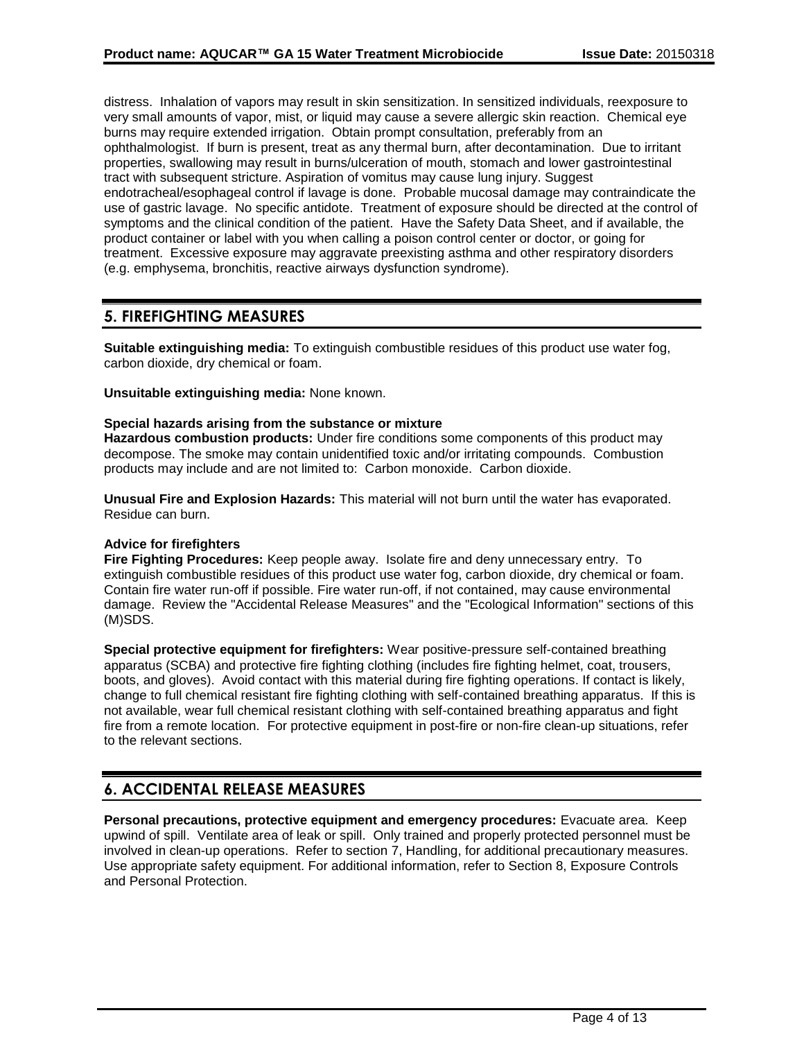distress. Inhalation of vapors may result in skin sensitization. In sensitized individuals, reexposure to very small amounts of vapor, mist, or liquid may cause a severe allergic skin reaction. Chemical eye burns may require extended irrigation. Obtain prompt consultation, preferably from an ophthalmologist. If burn is present, treat as any thermal burn, after decontamination. Due to irritant properties, swallowing may result in burns/ulceration of mouth, stomach and lower gastrointestinal tract with subsequent stricture. Aspiration of vomitus may cause lung injury. Suggest endotracheal/esophageal control if lavage is done. Probable mucosal damage may contraindicate the use of gastric lavage. No specific antidote. Treatment of exposure should be directed at the control of symptoms and the clinical condition of the patient. Have the Safety Data Sheet, and if available, the product container or label with you when calling a poison control center or doctor, or going for treatment. Excessive exposure may aggravate preexisting asthma and other respiratory disorders (e.g. emphysema, bronchitis, reactive airways dysfunction syndrome).

# **5. FIREFIGHTING MEASURES**

**Suitable extinguishing media:** To extinguish combustible residues of this product use water fog, carbon dioxide, dry chemical or foam.

**Unsuitable extinguishing media:** None known.

#### **Special hazards arising from the substance or mixture**

**Hazardous combustion products:** Under fire conditions some components of this product may decompose. The smoke may contain unidentified toxic and/or irritating compounds. Combustion products may include and are not limited to: Carbon monoxide. Carbon dioxide.

**Unusual Fire and Explosion Hazards:** This material will not burn until the water has evaporated. Residue can burn.

#### **Advice for firefighters**

**Fire Fighting Procedures:** Keep people away. Isolate fire and deny unnecessary entry. To extinguish combustible residues of this product use water fog, carbon dioxide, dry chemical or foam. Contain fire water run-off if possible. Fire water run-off, if not contained, may cause environmental damage. Review the "Accidental Release Measures" and the "Ecological Information" sections of this (M)SDS.

**Special protective equipment for firefighters:** Wear positive-pressure self-contained breathing apparatus (SCBA) and protective fire fighting clothing (includes fire fighting helmet, coat, trousers, boots, and gloves). Avoid contact with this material during fire fighting operations. If contact is likely, change to full chemical resistant fire fighting clothing with self-contained breathing apparatus. If this is not available, wear full chemical resistant clothing with self-contained breathing apparatus and fight fire from a remote location. For protective equipment in post-fire or non-fire clean-up situations, refer to the relevant sections.

### **6. ACCIDENTAL RELEASE MEASURES**

**Personal precautions, protective equipment and emergency procedures:** Evacuate area. Keep upwind of spill. Ventilate area of leak or spill. Only trained and properly protected personnel must be involved in clean-up operations. Refer to section 7, Handling, for additional precautionary measures. Use appropriate safety equipment. For additional information, refer to Section 8, Exposure Controls and Personal Protection.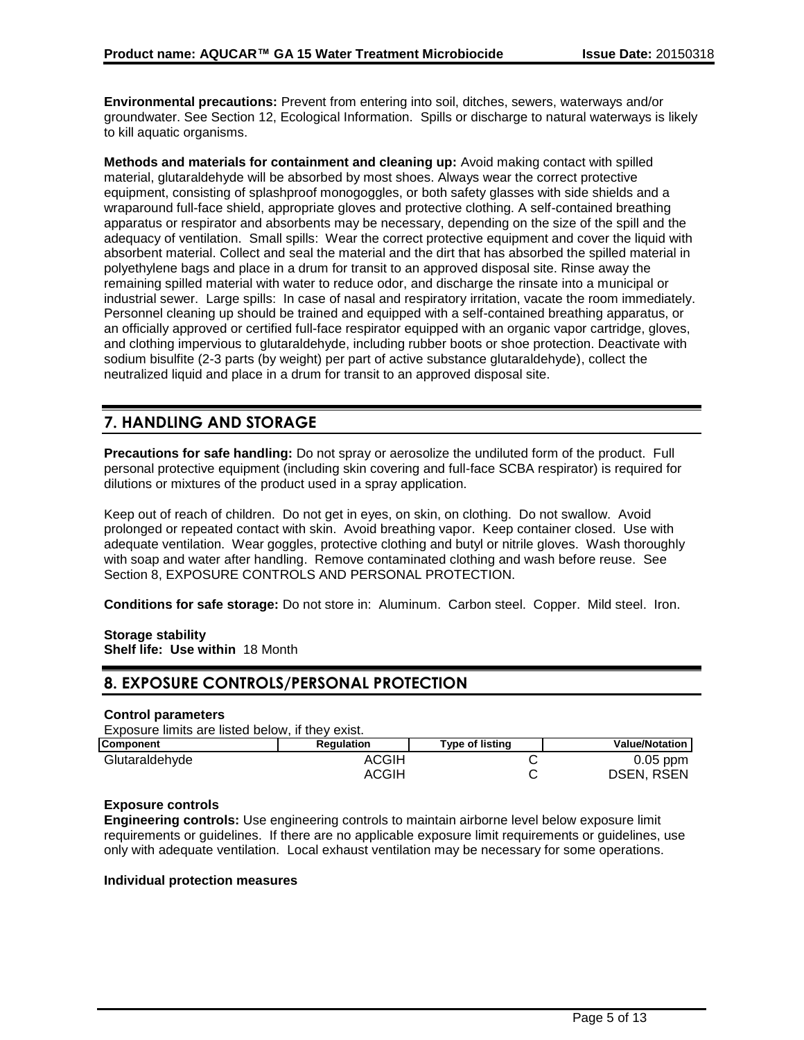**Environmental precautions:** Prevent from entering into soil, ditches, sewers, waterways and/or groundwater. See Section 12, Ecological Information. Spills or discharge to natural waterways is likely to kill aquatic organisms.

**Methods and materials for containment and cleaning up:** Avoid making contact with spilled material, glutaraldehyde will be absorbed by most shoes. Always wear the correct protective equipment, consisting of splashproof monogoggles, or both safety glasses with side shields and a wraparound full-face shield, appropriate gloves and protective clothing. A self-contained breathing apparatus or respirator and absorbents may be necessary, depending on the size of the spill and the adequacy of ventilation. Small spills: Wear the correct protective equipment and cover the liquid with absorbent material. Collect and seal the material and the dirt that has absorbed the spilled material in polyethylene bags and place in a drum for transit to an approved disposal site. Rinse away the remaining spilled material with water to reduce odor, and discharge the rinsate into a municipal or industrial sewer. Large spills: In case of nasal and respiratory irritation, vacate the room immediately. Personnel cleaning up should be trained and equipped with a self-contained breathing apparatus, or an officially approved or certified full-face respirator equipped with an organic vapor cartridge, gloves, and clothing impervious to glutaraldehyde, including rubber boots or shoe protection. Deactivate with sodium bisulfite (2-3 parts (by weight) per part of active substance glutaraldehyde), collect the neutralized liquid and place in a drum for transit to an approved disposal site.

# **7. HANDLING AND STORAGE**

**Precautions for safe handling:** Do not spray or aerosolize the undiluted form of the product. Full personal protective equipment (including skin covering and full-face SCBA respirator) is required for dilutions or mixtures of the product used in a spray application.

Keep out of reach of children. Do not get in eyes, on skin, on clothing. Do not swallow. Avoid prolonged or repeated contact with skin. Avoid breathing vapor. Keep container closed. Use with adequate ventilation. Wear goggles, protective clothing and butyl or nitrile gloves. Wash thoroughly with soap and water after handling. Remove contaminated clothing and wash before reuse. See Section 8, EXPOSURE CONTROLS AND PERSONAL PROTECTION.

**Conditions for safe storage:** Do not store in: Aluminum. Carbon steel. Copper. Mild steel. Iron.

### **Storage stability**

**Shelf life: Use within** 18 Month

# **8. EXPOSURE CONTROLS/PERSONAL PROTECTION**

#### **Control parameters**

Exposure limits are listed below, if they exist.

| <b>Component</b> | <b>Regulation</b> | <b>Type of listing</b> | <b>Value/Notation</b> |
|------------------|-------------------|------------------------|-----------------------|
| Glutaraldehyde   | ACGIH             |                        | $0.05$ ppm            |
|                  | <b>ACGIH</b>      |                        | <b>DSEN, RSEN</b>     |

### **Exposure controls**

**Engineering controls:** Use engineering controls to maintain airborne level below exposure limit requirements or guidelines. If there are no applicable exposure limit requirements or guidelines, use only with adequate ventilation. Local exhaust ventilation may be necessary for some operations.

#### **Individual protection measures**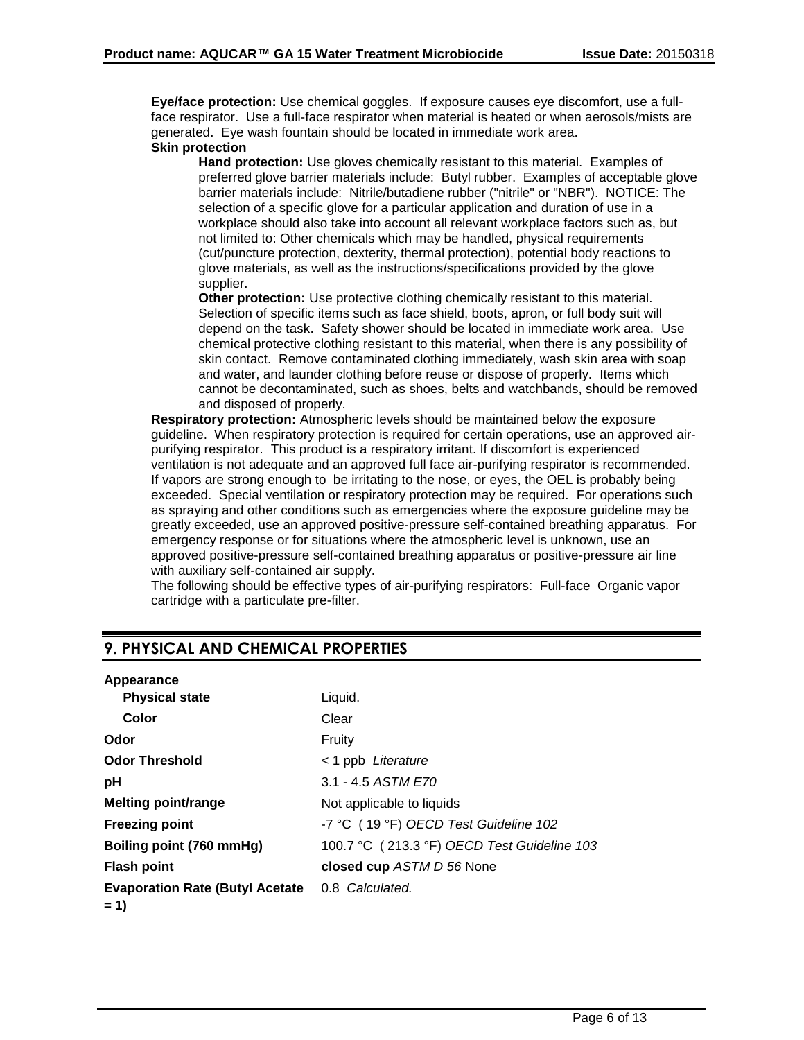**Eye/face protection:** Use chemical goggles. If exposure causes eye discomfort, use a fullface respirator. Use a full-face respirator when material is heated or when aerosols/mists are generated. Eye wash fountain should be located in immediate work area.

### **Skin protection**

**Hand protection:** Use gloves chemically resistant to this material. Examples of preferred glove barrier materials include: Butyl rubber. Examples of acceptable glove barrier materials include: Nitrile/butadiene rubber ("nitrile" or "NBR"). NOTICE: The selection of a specific glove for a particular application and duration of use in a workplace should also take into account all relevant workplace factors such as, but not limited to: Other chemicals which may be handled, physical requirements (cut/puncture protection, dexterity, thermal protection), potential body reactions to glove materials, as well as the instructions/specifications provided by the glove supplier.

**Other protection:** Use protective clothing chemically resistant to this material. Selection of specific items such as face shield, boots, apron, or full body suit will depend on the task. Safety shower should be located in immediate work area. Use chemical protective clothing resistant to this material, when there is any possibility of skin contact. Remove contaminated clothing immediately, wash skin area with soap and water, and launder clothing before reuse or dispose of properly. Items which cannot be decontaminated, such as shoes, belts and watchbands, should be removed and disposed of properly.

**Respiratory protection:** Atmospheric levels should be maintained below the exposure guideline. When respiratory protection is required for certain operations, use an approved airpurifying respirator. This product is a respiratory irritant. If discomfort is experienced ventilation is not adequate and an approved full face air-purifying respirator is recommended. If vapors are strong enough to be irritating to the nose, or eyes, the OEL is probably being exceeded. Special ventilation or respiratory protection may be required. For operations such as spraying and other conditions such as emergencies where the exposure guideline may be greatly exceeded, use an approved positive-pressure self-contained breathing apparatus. For emergency response or for situations where the atmospheric level is unknown, use an approved positive-pressure self-contained breathing apparatus or positive-pressure air line with auxiliary self-contained air supply.

The following should be effective types of air-purifying respirators: Full-face Organic vapor cartridge with a particulate pre-filter.

# **9. PHYSICAL AND CHEMICAL PROPERTIES**

| Appearance                             |                                             |
|----------------------------------------|---------------------------------------------|
| <b>Physical state</b>                  | Liquid.                                     |
| Color                                  | Clear                                       |
| Odor                                   | Fruity                                      |
| <b>Odor Threshold</b>                  | < 1 ppb Literature                          |
| рH                                     | 3.1 - 4.5 ASTM E70                          |
| <b>Melting point/range</b>             | Not applicable to liquids                   |
| <b>Freezing point</b>                  | -7 °C (19 °F) OECD Test Guideline 102       |
| Boiling point (760 mmHg)               | 100.7 °C (213.3 °F) OECD Test Guideline 103 |
| <b>Flash point</b>                     | closed cup ASTM D 56 None                   |
| <b>Evaporation Rate (Butyl Acetate</b> | 0.8 Calculated.                             |
| $= 1$                                  |                                             |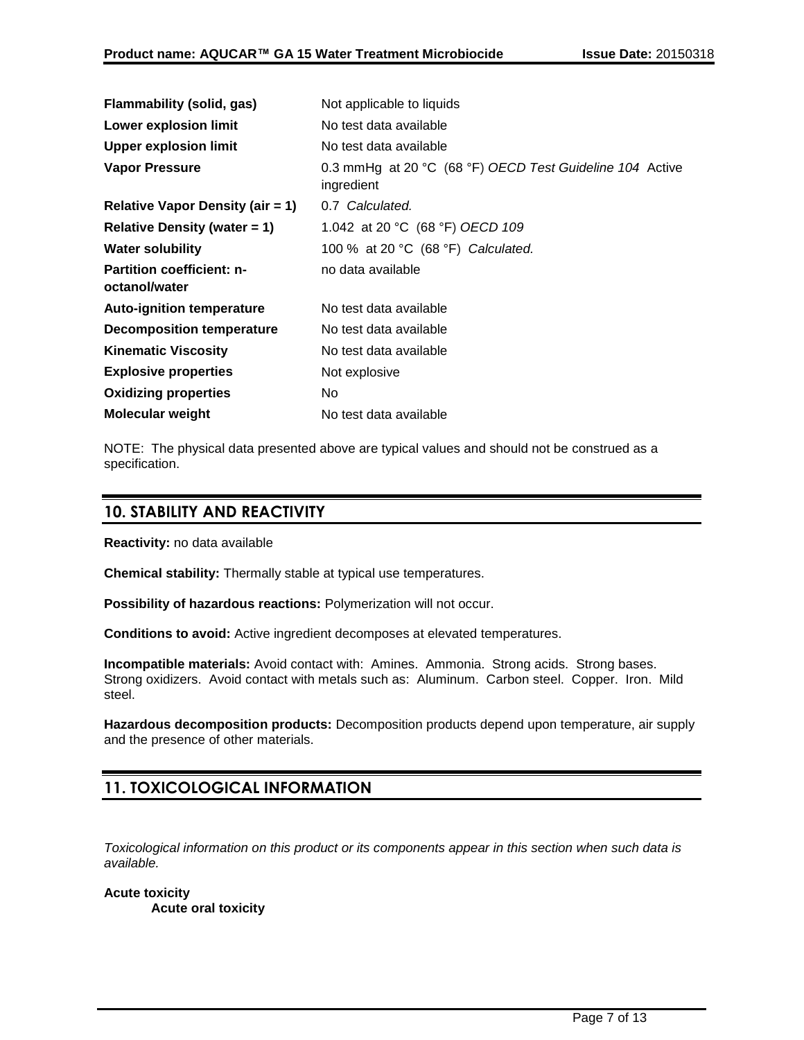| Flammability (solid, gas)                         | Not applicable to liquids                                              |
|---------------------------------------------------|------------------------------------------------------------------------|
| <b>Lower explosion limit</b>                      | No test data available                                                 |
| <b>Upper explosion limit</b>                      | No test data available                                                 |
| <b>Vapor Pressure</b>                             | 0.3 mmHg at 20 °C (68 °F) OECD Test Guideline 104 Active<br>ingredient |
| <b>Relative Vapor Density (air = 1)</b>           | 0.7 Calculated.                                                        |
| Relative Density (water $= 1$ )                   | 1.042 at 20 °C (68 °F) OECD 109                                        |
| <b>Water solubility</b>                           | 100 % at 20 °C (68 °F) Calculated.                                     |
| <b>Partition coefficient: n-</b><br>octanol/water | no data available                                                      |
| <b>Auto-ignition temperature</b>                  | No test data available                                                 |
| Decomposition temperature                         | No test data available                                                 |
| <b>Kinematic Viscosity</b>                        | No test data available                                                 |
| <b>Explosive properties</b>                       | Not explosive                                                          |
| <b>Oxidizing properties</b>                       | No.                                                                    |
| Molecular weight                                  | No test data available                                                 |

NOTE: The physical data presented above are typical values and should not be construed as a specification.

# **10. STABILITY AND REACTIVITY**

**Reactivity:** no data available

**Chemical stability:** Thermally stable at typical use temperatures.

**Possibility of hazardous reactions:** Polymerization will not occur.

**Conditions to avoid:** Active ingredient decomposes at elevated temperatures.

**Incompatible materials:** Avoid contact with: Amines. Ammonia. Strong acids. Strong bases. Strong oxidizers. Avoid contact with metals such as: Aluminum. Carbon steel. Copper. Iron. Mild steel.

**Hazardous decomposition products:** Decomposition products depend upon temperature, air supply and the presence of other materials.

# **11. TOXICOLOGICAL INFORMATION**

*Toxicological information on this product or its components appear in this section when such data is available.*

**Acute toxicity Acute oral toxicity**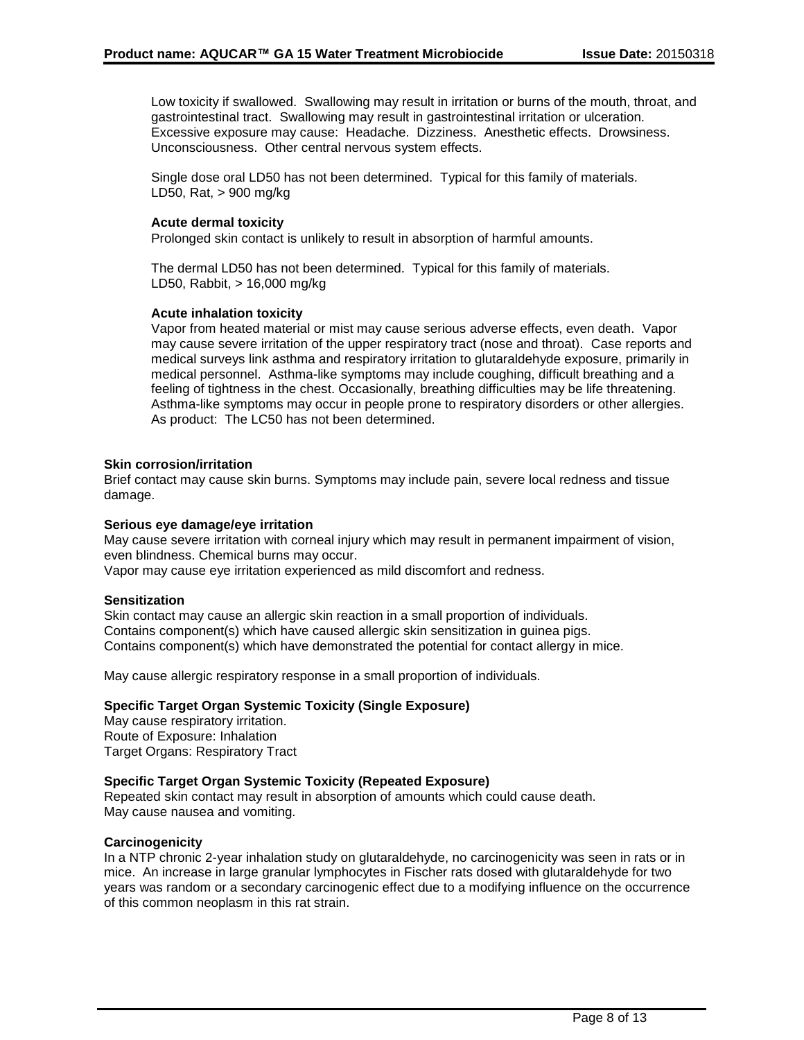Low toxicity if swallowed. Swallowing may result in irritation or burns of the mouth, throat, and gastrointestinal tract. Swallowing may result in gastrointestinal irritation or ulceration. Excessive exposure may cause: Headache. Dizziness. Anesthetic effects. Drowsiness. Unconsciousness. Other central nervous system effects.

Single dose oral LD50 has not been determined. Typical for this family of materials. LD50, Rat, > 900 mg/kg

#### **Acute dermal toxicity**

Prolonged skin contact is unlikely to result in absorption of harmful amounts.

The dermal LD50 has not been determined. Typical for this family of materials. LD50, Rabbit, > 16,000 mg/kg

#### **Acute inhalation toxicity**

Vapor from heated material or mist may cause serious adverse effects, even death. Vapor may cause severe irritation of the upper respiratory tract (nose and throat). Case reports and medical surveys link asthma and respiratory irritation to glutaraldehyde exposure, primarily in medical personnel. Asthma-like symptoms may include coughing, difficult breathing and a feeling of tightness in the chest. Occasionally, breathing difficulties may be life threatening. Asthma-like symptoms may occur in people prone to respiratory disorders or other allergies. As product: The LC50 has not been determined.

#### **Skin corrosion/irritation**

Brief contact may cause skin burns. Symptoms may include pain, severe local redness and tissue damage.

#### **Serious eye damage/eye irritation**

May cause severe irritation with corneal injury which may result in permanent impairment of vision, even blindness. Chemical burns may occur.

Vapor may cause eye irritation experienced as mild discomfort and redness.

#### **Sensitization**

Skin contact may cause an allergic skin reaction in a small proportion of individuals. Contains component(s) which have caused allergic skin sensitization in guinea pigs. Contains component(s) which have demonstrated the potential for contact allergy in mice.

May cause allergic respiratory response in a small proportion of individuals.

#### **Specific Target Organ Systemic Toxicity (Single Exposure)**

May cause respiratory irritation. Route of Exposure: Inhalation Target Organs: Respiratory Tract

#### **Specific Target Organ Systemic Toxicity (Repeated Exposure)**

Repeated skin contact may result in absorption of amounts which could cause death. May cause nausea and vomiting.

#### **Carcinogenicity**

In a NTP chronic 2-year inhalation study on glutaraldehyde, no carcinogenicity was seen in rats or in mice. An increase in large granular lymphocytes in Fischer rats dosed with glutaraldehyde for two years was random or a secondary carcinogenic effect due to a modifying influence on the occurrence of this common neoplasm in this rat strain.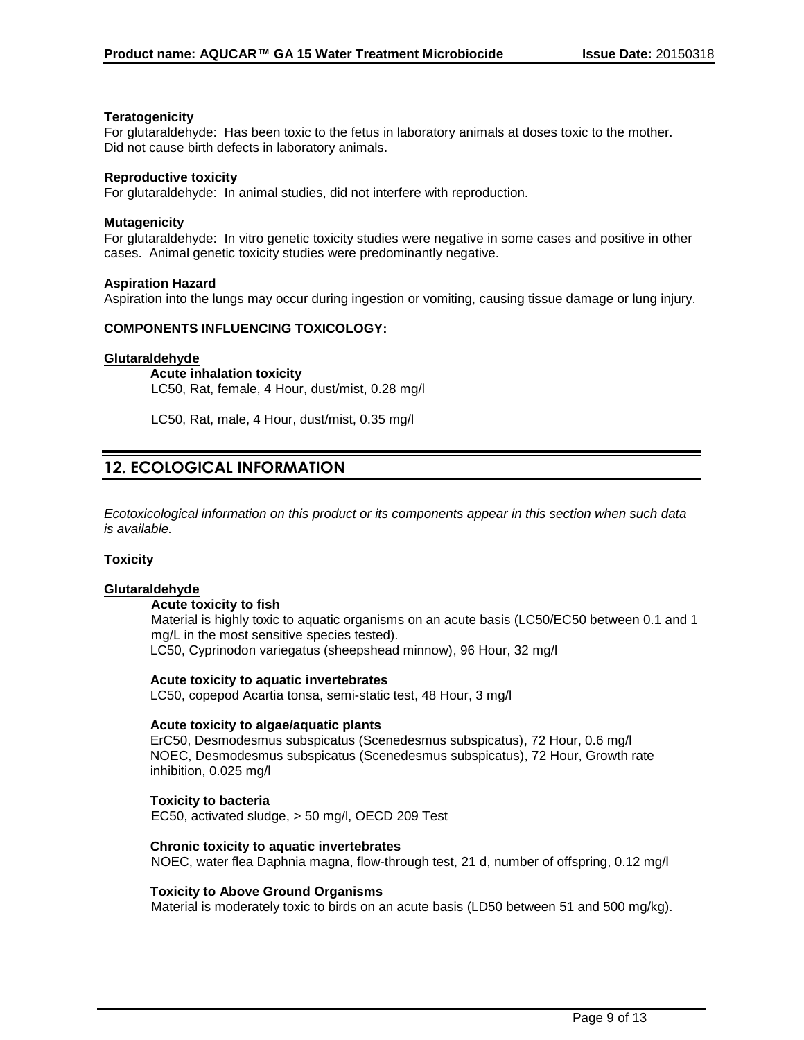#### **Teratogenicity**

For glutaraldehyde: Has been toxic to the fetus in laboratory animals at doses toxic to the mother. Did not cause birth defects in laboratory animals.

#### **Reproductive toxicity**

For glutaraldehyde: In animal studies, did not interfere with reproduction.

#### **Mutagenicity**

For glutaraldehyde: In vitro genetic toxicity studies were negative in some cases and positive in other cases. Animal genetic toxicity studies were predominantly negative.

#### **Aspiration Hazard**

Aspiration into the lungs may occur during ingestion or vomiting, causing tissue damage or lung injury.

#### **COMPONENTS INFLUENCING TOXICOLOGY:**

#### **Glutaraldehyde**

**Acute inhalation toxicity** LC50, Rat, female, 4 Hour, dust/mist, 0.28 mg/l

LC50, Rat, male, 4 Hour, dust/mist, 0.35 mg/l

# **12. ECOLOGICAL INFORMATION**

*Ecotoxicological information on this product or its components appear in this section when such data is available.*

#### **Toxicity**

#### **Glutaraldehyde**

#### **Acute toxicity to fish**

Material is highly toxic to aquatic organisms on an acute basis (LC50/EC50 between 0.1 and 1 mg/L in the most sensitive species tested). LC50, Cyprinodon variegatus (sheepshead minnow), 96 Hour, 32 mg/l

#### **Acute toxicity to aquatic invertebrates**

LC50, copepod Acartia tonsa, semi-static test, 48 Hour, 3 mg/l

#### **Acute toxicity to algae/aquatic plants**

ErC50, Desmodesmus subspicatus (Scenedesmus subspicatus), 72 Hour, 0.6 mg/l NOEC, Desmodesmus subspicatus (Scenedesmus subspicatus), 72 Hour, Growth rate inhibition, 0.025 mg/l

#### **Toxicity to bacteria**

EC50, activated sludge, > 50 mg/l, OECD 209 Test

#### **Chronic toxicity to aquatic invertebrates**

NOEC, water flea Daphnia magna, flow-through test, 21 d, number of offspring, 0.12 mg/l

#### **Toxicity to Above Ground Organisms**

Material is moderately toxic to birds on an acute basis (LD50 between 51 and 500 mg/kg).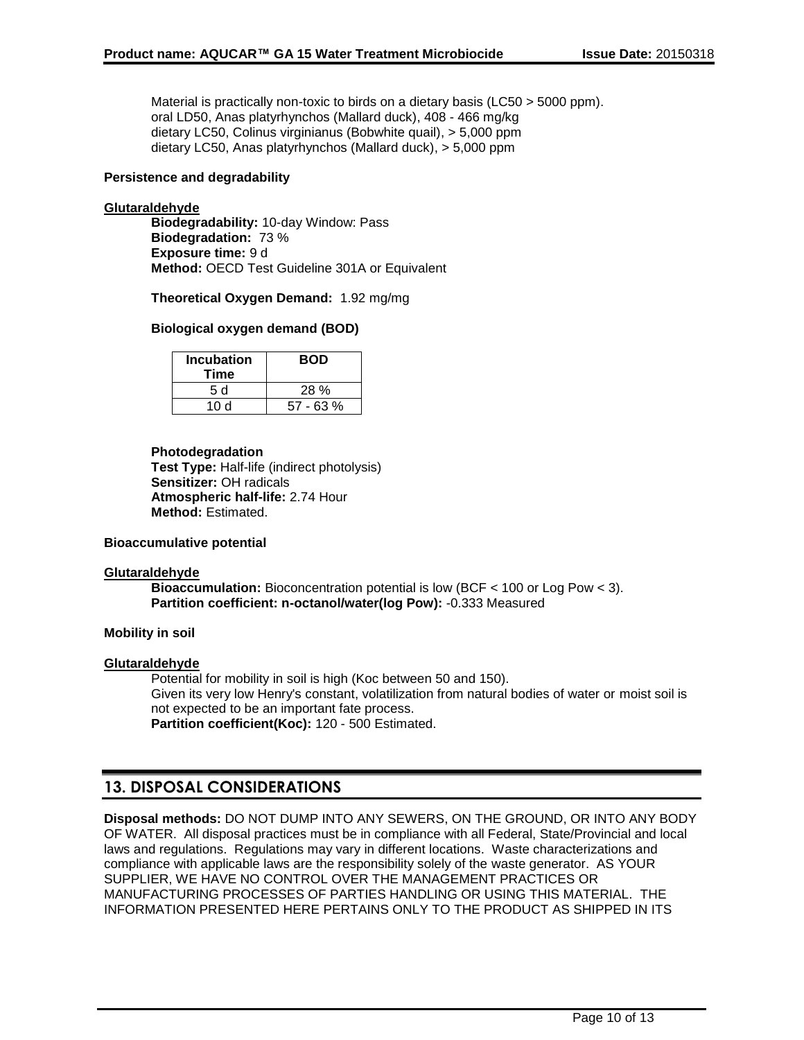Material is practically non-toxic to birds on a dietary basis (LC50 > 5000 ppm). oral LD50, Anas platyrhynchos (Mallard duck), 408 - 466 mg/kg dietary LC50, Colinus virginianus (Bobwhite quail), > 5,000 ppm dietary LC50, Anas platyrhynchos (Mallard duck), > 5,000 ppm

#### **Persistence and degradability**

#### **Glutaraldehyde**

**Biodegradability:** 10-day Window: Pass **Biodegradation:** 73 % **Exposure time:** 9 d **Method:** OECD Test Guideline 301A or Equivalent

**Theoretical Oxygen Demand:** 1.92 mg/mg

#### **Biological oxygen demand (BOD)**

| <b>Incubation</b><br>Time | <b>BOD</b>  |
|---------------------------|-------------|
| 5 d                       | 28 %        |
| 10 d                      | $57 - 63 %$ |

#### **Photodegradation**

**Test Type:** Half-life (indirect photolysis) **Sensitizer:** OH radicals **Atmospheric half-life:** 2.74 Hour **Method:** Estimated.

#### **Bioaccumulative potential**

#### **Glutaraldehyde**

**Bioaccumulation:** Bioconcentration potential is low (BCF < 100 or Log Pow < 3). **Partition coefficient: n-octanol/water(log Pow):** -0.333 Measured

#### **Mobility in soil**

#### **Glutaraldehyde**

Potential for mobility in soil is high (Koc between 50 and 150). Given its very low Henry's constant, volatilization from natural bodies of water or moist soil is not expected to be an important fate process. **Partition coefficient(Koc):** 120 - 500 Estimated.

# **13. DISPOSAL CONSIDERATIONS**

**Disposal methods:** DO NOT DUMP INTO ANY SEWERS, ON THE GROUND, OR INTO ANY BODY OF WATER. All disposal practices must be in compliance with all Federal, State/Provincial and local laws and regulations. Regulations may vary in different locations. Waste characterizations and compliance with applicable laws are the responsibility solely of the waste generator. AS YOUR SUPPLIER, WE HAVE NO CONTROL OVER THE MANAGEMENT PRACTICES OR MANUFACTURING PROCESSES OF PARTIES HANDLING OR USING THIS MATERIAL. THE INFORMATION PRESENTED HERE PERTAINS ONLY TO THE PRODUCT AS SHIPPED IN ITS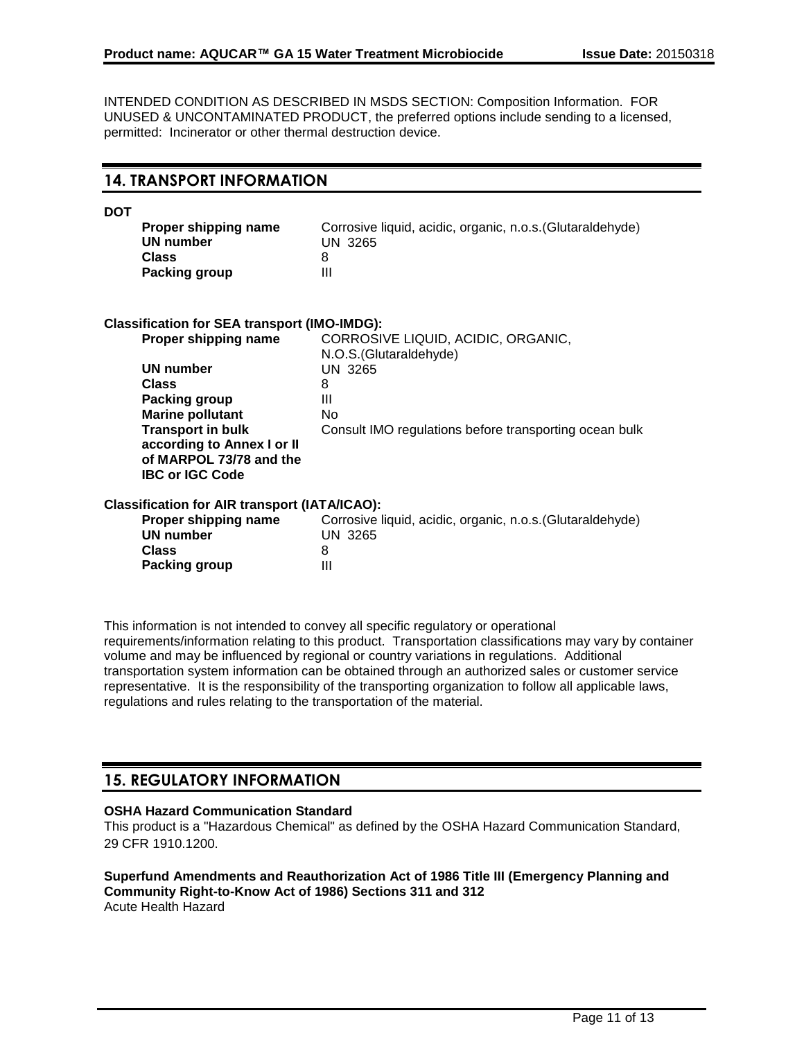INTENDED CONDITION AS DESCRIBED IN MSDS SECTION: Composition Information. FOR UNUSED & UNCONTAMINATED PRODUCT, the preferred options include sending to a licensed, permitted: Incinerator or other thermal destruction device.

**DOT**

| Proper shipping name | Corrosive liquid, acidic, organic, n.o.s. (Glutaraldehyde) |
|----------------------|------------------------------------------------------------|
| UN number            | UN 3265                                                    |
| <b>Class</b>         |                                                            |
| Packing group        |                                                            |

| <b>Classification for SEA transport (IMO-IMDG):</b><br>Proper shipping name                                 | CORROSIVE LIQUID, ACIDIC, ORGANIC,<br>N.O.S. (Glutaraldehyde) |
|-------------------------------------------------------------------------------------------------------------|---------------------------------------------------------------|
| UN number                                                                                                   | UN 3265                                                       |
| <b>Class</b>                                                                                                | 8                                                             |
| <b>Packing group</b>                                                                                        | Ш                                                             |
| <b>Marine pollutant</b>                                                                                     | No                                                            |
| <b>Transport in bulk</b><br>according to Annex I or II<br>of MARPOL 73/78 and the<br><b>IBC or IGC Code</b> | Consult IMO regulations before transporting ocean bulk        |
| <b>Classification for AIR transport (IATA/ICAO):</b>                                                        |                                                               |
| Proper shipping name                                                                                        | Corrosive liquid, acidic, organic, n.o.s. (Glutaraldehyde)    |
| <b>UN number</b>                                                                                            | <b>UN 3265</b>                                                |
| <b>Class</b>                                                                                                | 8                                                             |

This information is not intended to convey all specific regulatory or operational requirements/information relating to this product. Transportation classifications may vary by container volume and may be influenced by regional or country variations in regulations. Additional transportation system information can be obtained through an authorized sales or customer service representative. It is the responsibility of the transporting organization to follow all applicable laws, regulations and rules relating to the transportation of the material.

# **15. REGULATORY INFORMATION**

**Packing group III** 

#### **OSHA Hazard Communication Standard**

This product is a "Hazardous Chemical" as defined by the OSHA Hazard Communication Standard, 29 CFR 1910.1200.

**Superfund Amendments and Reauthorization Act of 1986 Title III (Emergency Planning and Community Right-to-Know Act of 1986) Sections 311 and 312** Acute Health Hazard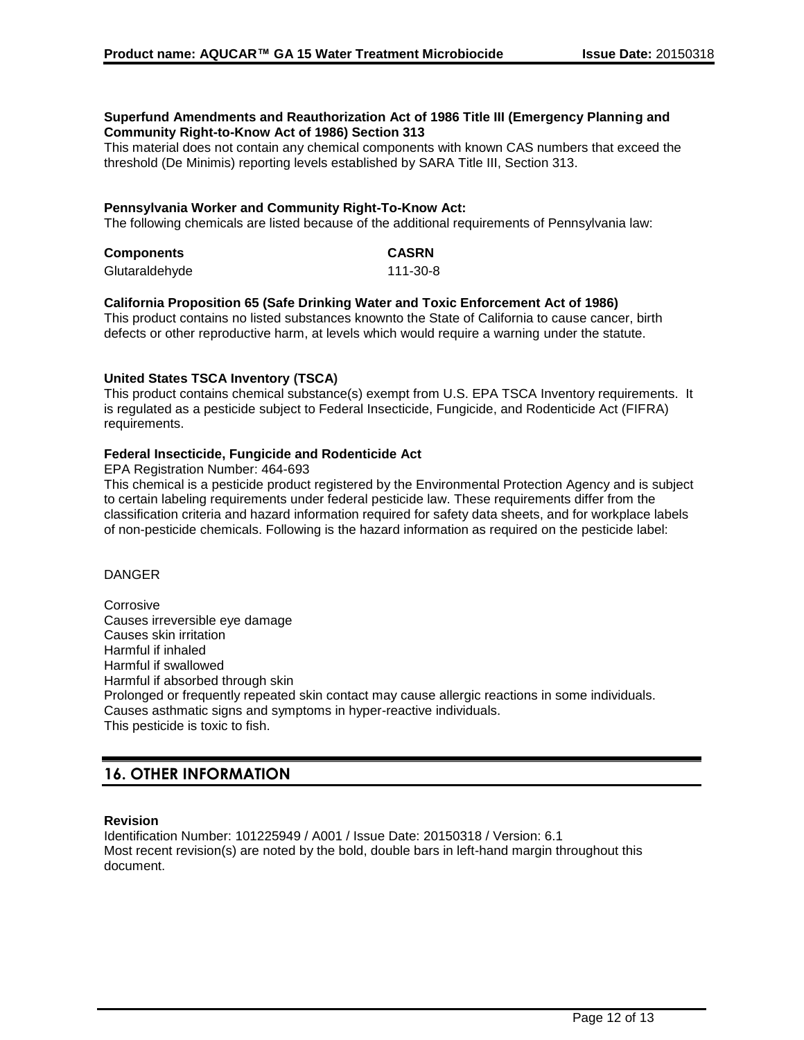#### **Superfund Amendments and Reauthorization Act of 1986 Title III (Emergency Planning and Community Right-to-Know Act of 1986) Section 313**

This material does not contain any chemical components with known CAS numbers that exceed the threshold (De Minimis) reporting levels established by SARA Title III, Section 313.

# **Pennsylvania Worker and Community Right-To-Know Act:**

The following chemicals are listed because of the additional requirements of Pennsylvania law:

| <b>Components</b> | <b>CASRN</b> |
|-------------------|--------------|
| Glutaraldehyde    | 111-30-8     |

#### **California Proposition 65 (Safe Drinking Water and Toxic Enforcement Act of 1986)**

This product contains no listed substances knownto the State of California to cause cancer, birth defects or other reproductive harm, at levels which would require a warning under the statute.

#### **United States TSCA Inventory (TSCA)**

This product contains chemical substance(s) exempt from U.S. EPA TSCA Inventory requirements. It is regulated as a pesticide subject to Federal Insecticide, Fungicide, and Rodenticide Act (FIFRA) requirements.

#### **Federal Insecticide, Fungicide and Rodenticide Act**

EPA Registration Number: 464-693

This chemical is a pesticide product registered by the Environmental Protection Agency and is subject to certain labeling requirements under federal pesticide law. These requirements differ from the classification criteria and hazard information required for safety data sheets, and for workplace labels of non-pesticide chemicals. Following is the hazard information as required on the pesticide label:

### DANGER

**Corrosive** Causes irreversible eye damage Causes skin irritation Harmful if inhaled Harmful if swallowed Harmful if absorbed through skin Prolonged or frequently repeated skin contact may cause allergic reactions in some individuals. Causes asthmatic signs and symptoms in hyper-reactive individuals. This pesticide is toxic to fish.

# **16. OTHER INFORMATION**

#### **Revision**

Identification Number: 101225949 / A001 / Issue Date: 20150318 / Version: 6.1 Most recent revision(s) are noted by the bold, double bars in left-hand margin throughout this document.